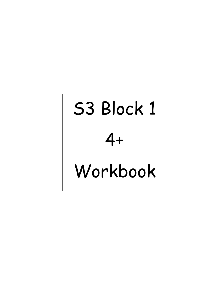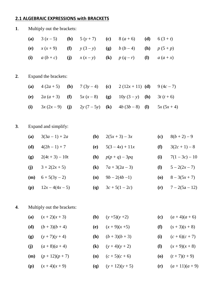#### **2.1 ALGEBRAIC EXPRESSIONS with BRACKETS**

| 1. |            | Multiply out the brackets: |     |                            |                            |                   |                            |                                          |                  |  |
|----|------------|----------------------------|-----|----------------------------|----------------------------|-------------------|----------------------------|------------------------------------------|------------------|--|
|    | (a)        | $3(x-5)$                   | (b) | $5(y+7)$                   | (c)                        | $8(a+6)$          | (d)                        | $6(3 + t)$                               |                  |  |
|    | <b>(e)</b> | $x(x+9)$                   | (f) | $y(3-y)$                   | <b>(g)</b>                 | $b(b-4)$          | <b>(h)</b>                 | $p(5+p)$                                 |                  |  |
|    | (i)        | $a(b+c)$                   | (j) | $x(x-y)$                   | $\left( \mathbf{k}\right)$ | $p(q-r)$          | $\left( \mathbf{l}\right)$ | $a(a+x)$                                 |                  |  |
| 2. |            | Expand the brackets:       |     |                            |                            |                   |                            |                                          |                  |  |
|    | (a)        | $4(2a+5)$                  | (b) | $7(3y-4)$                  | (c)                        | $2(12x+11)$ (d)   |                            | $9(4c-7)$                                |                  |  |
|    | <b>(e)</b> | $2a(a+3)$                  | (f) | $5x(x-8)$                  | (g)                        | $10y(3-y)$        | <b>(h)</b>                 | $3t(t+6)$                                |                  |  |
|    | (i)        | $3x(2x-9)$                 | (j) | $2y(7-5y)$                 | $\left( \mathbf{k}\right)$ | $4b(3b-8)$        | <b>(I)</b>                 |                                          | $5x(5x+4)$       |  |
| 3. |            | Expand and simplify:       |     |                            |                            |                   |                            |                                          |                  |  |
|    | (a)        | $3(3a-1) + 2a$             |     | <b>(b)</b>                 |                            | $2(5x+3) - 3x$    |                            | (c)                                      | $8(b+2)-9$       |  |
|    | (d)        | $4(2h-1)+7$                |     | <b>(e)</b>                 |                            | $5(3-4x) + 11x$   |                            | (f)                                      | $3(2c+1)-8$      |  |
|    | (g)        | $2(4t + 3) - 10t$          |     | (h)                        |                            | $p(p + q) - 3pq$  |                            | (i)                                      | $7(1-3c) - 10$   |  |
|    | (j)        | $3 + 2(2x + 5)$            |     | $\left( \mathbf{k}\right)$ |                            | $7a + 3(2a - 3)$  |                            | ( <b>l</b> )                             | $5 - 2(2x - 7)$  |  |
|    | (m)        | $6 + 5(3y - 2)$            |     | (n)                        |                            | $9b - 2(4b - 1)$  |                            | $\boldsymbol{\left( \mathbf{0} \right)}$ | $8 - 3(5x + 7)$  |  |
|    | (p)        | $12x - 4(4x - 5)$          |     | <b>(q)</b>                 |                            | $3c + 5(1 - 2c)$  |                            | (r)                                      | $7 - 2(5a - 12)$ |  |
| 4. |            | Multiply out the brackets: |     |                            |                            |                   |                            |                                          |                  |  |
|    | (a)        | $(x + 2)(x + 3)$           |     | <b>(b)</b>                 |                            | $(y+5)(y+2)$      |                            | (c)                                      | $(a+4)(a+6)$     |  |
|    | (d)        | $(b+3)(b+4)$               |     | <b>(e)</b>                 |                            | $(x+9)(x+5)$      |                            | (f)                                      | $(s + 3)(s + 8)$ |  |
|    | (g)        | $(y + 7)(y + 4)$           |     | (h)                        |                            | $(b+3)(b+3)$      |                            | (i)                                      | $(c+6)(c+7)$     |  |
|    | (j)        | $(a+8)(a+4)$               |     | $\left( \mathbf{k}\right)$ |                            | $(y+4)(y+2)$      |                            | ( <b>l</b> )                             | $(x+9)(x+8)$     |  |
|    | (m)        | $(p+12)(p+7)$              |     | (n)                        |                            | $(c + 5)(c + 6)$  |                            | $\boldsymbol{\left( \mathbf{0} \right)}$ | $(t+7)(t+9)$     |  |
|    | (p)        | $(x+4)(x+9)$               |     | <b>(q)</b>                 |                            | $(y + 12)(y + 5)$ |                            | (r)                                      | $(a+11)(a+9)$    |  |
|    |            |                            |     |                            |                            |                   |                            |                                          |                  |  |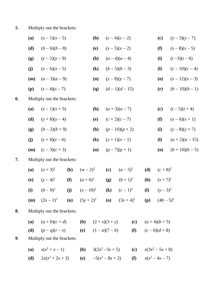| 5. | Multiply out the brackets: |
|----|----------------------------|
|----|----------------------------|

|    | (a)        | $(x-1)(x-5)$                                            |     |            | (b)                        |                            | $(c-4)(c-2)$  |  |                                                     | (c)           | $(y-3)(y-7)$  |
|----|------------|---------------------------------------------------------|-----|------------|----------------------------|----------------------------|---------------|--|-----------------------------------------------------|---------------|---------------|
|    | (d)        | $(b-6)(b-8)$                                            |     |            | <b>(e)</b>                 |                            | $(x-5)(x-2)$  |  |                                                     | (f)           | $(s-8)(s-5)$  |
|    | (g)        | $(y-2)(y-9)$                                            |     |            | (h)                        | $(a-4)(a-4)$               |               |  |                                                     | (i)           | $(t-3)(t-6)$  |
|    | (j)        | $(x-6)(x-5)$                                            |     |            | $\left( \mathbf{k}\right)$ |                            | $(b-5)(b-3)$  |  | <b>(I)</b>                                          | $(c-10)(c-4)$ |               |
|    | (m)        | $(a-3)(a-9)$                                            |     |            | (n)                        |                            | $(y-8)(y-7)$  |  |                                                     | (0)           | $(x-12)(x-3)$ |
|    | (p)        | $(s-4)(s-7)$                                            |     |            | <b>(q)</b>                 |                            | $(d-1)(d-15)$ |  |                                                     | (r)           | $(b-10)(b-1)$ |
| 6. |            | Multiply out the brackets:                              |     |            |                            |                            |               |  |                                                     |               |               |
|    | (a)        | $(x-1)(x+5)$                                            |     |            | ( <b>b</b> )               |                            | $(a+3)(a-7)$  |  |                                                     | (c)           | $(t-5)(t+4)$  |
|    | (d)        | $(y+8)(y-4)$                                            |     |            | <b>(e)</b>                 |                            | $(c+2)(c-7)$  |  |                                                     | (f)           | $(x-6)(x+1)$  |
|    | (g)        | $(b-2)(b+9)$                                            |     |            | <b>(h)</b>                 |                            | $(p-10)(p+2)$ |  |                                                     | (i)           | $(y-8)(y+7)$  |
|    | (j)        | $(z+4)(z-6)$                                            |     |            | $\left( \mathbf{k}\right)$ |                            | $(x+1)(x-1)$  |  |                                                     | <b>(I)</b>    | $(a+2)(a-15)$ |
|    | (m)        | $(c-3)(c+3)$                                            |     |            | (n)                        |                            | $(p-7)(p+1)$  |  |                                                     | (0)           | $(b+10)(b-5)$ |
| 7. |            | Multiply out the brackets:                              |     |            |                            |                            |               |  |                                                     |               |               |
|    | (a)        | $(x+3)^2$                                               | (b) | $(w-2)^2$  |                            | (c)                        | $(a-5)^2$     |  | (d)                                                 | $(c+8)^2$     |               |
|    | <b>(e)</b> | $(y-4)^2$                                               | (f) | $(a+6)^2$  |                            | (g)                        | $(b+1)^2$     |  | (h)                                                 | $(s + 7)^2$   |               |
|    | (i)        | $(b-9)^2$                                               | (j) | $(x-10)^2$ |                            | $\left( \mathbf{k}\right)$ | $(c-1)^2$     |  | ( <b>l</b> )                                        | $(y-3)^2$     |               |
|    | (m)        | $(2x-1)^2$ (n) $(5y+2)^2$ (o) $(3x+4)^2$ (p) $(4b-5)^2$ |     |            |                            |                            |               |  |                                                     |               |               |
| 8. |            | Multiply out the brackets:                              |     |            |                            |                            |               |  |                                                     |               |               |
|    | (a)        | $(a+b)(c+d)$                                            |     |            |                            |                            |               |  | ( <b>b</b> ) $(2+x)(3+y)$ ( <b>c</b> ) $(a+4)(b+5)$ |               |               |
|    | (d)        | $(p-q)(r-s)$ (e) $(1-a)(7-b)$ (f) $(c-6)(d+8)$          |     |            |                            |                            |               |  |                                                     |               |               |
| 9. |            | Multiply out the brackets:                              |     |            |                            |                            |               |  |                                                     |               |               |
|    | (a)        | $x(x^2 + x - 1)$                                        |     | (b)        |                            | $3(2x^2-3x+5)$             |               |  | (c) $x(3x^2-5x+8)$                                  |               |               |

**(d)**  $2x(x^2 + 2x + 3)$  **(e)**  $-5(x^2 - 8x + 2)$  **(f)**  $x(x^2 - 4x - 7)$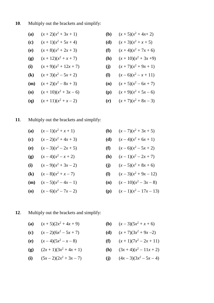**10**. Multiply out the brackets and simplify:

| (a) $(x + 2)(x^2 + 3x + 1)$  | (b) $(x + 5)(x^2 + 4x + 2)$  |
|------------------------------|------------------------------|
| (c) $(x + 1)(x^2 + 5x + 4)$  | (d) $(x + 3)(x^2 + x + 5)$   |
| (e) $(x + 8)(x^2 + 2x + 3)$  | (f) $(x + 4)(x^2 + 7x + 6)$  |
| (g) $(x + 12)(x^2 + x + 7)$  | (h) $(x + 10)(x^2 + 3x + 9)$ |
| (i) $(x + 9)(x^2 + 12x + 7)$ | (j) $(x + 7)(x^2 + 9x + 1)$  |
| (k) $(x + 3)(x^2 - 5x + 2)$  | (l) $(x - 6)(x^2 - x + 11)$  |
| (m) $(x + 2)(x^2 - 8x + 3)$  | (n) $(x + 5)(x^2 - 6x + 7)$  |
| (o) $(x + 10)(x^2 + 3x - 6)$ | (p) $(x + 9)(x^2 + 5x - 6)$  |
| (q) $(x + 11)(x^2 + x - 2)$  | (r) $(x + 7)(x^2 + 8x - 3)$  |

#### **11**. Multiply out the brackets and simplify:

(a)  $(x-1)(x^2+x+1)$ 

- **(c)**  $(x-2)(x^2+4x+3)$
- (e)  $(x-3)(x^2-2x+5)$
- **(g)**  $(x-4)(x^2-x+2)$
- (i)  $(x-9)(x^2+3x-2)$ **(k)**  $(x-8)(x^2+x-7)$
- (**m**)  $(x-5)(x^2-4x-1)$
- (o)  $(x-6)(x^2-7x-2)$
- $(x^2 + x + 1)$  **(b)**  $(x 7)(x^2 + 3x + 5)$  $(x^2 + 4x + 3)$  **(d)**  $(x - 4)(x^2 + 6x + 1)$  $(x^2-2x+5)$  **(f)**  $(x-6)(x^2-5x+2)$  $(x^2 - x + 2)$  **(h)**  $(x - 1)(x^2 - 2x + 7)$  $(x^2 + 3x - 2)$  (j)  $(x - 5)(x^2 + 8x + 6)$  $(x^2 + x - 7)$  **(l)**  $(x - 3)(x^2 + 9x - 12)$  $(x^2-4x-1)$  (**n**)  $(x-10)(x^2-3x-8)$  $(x^2 - 7x - 2)$  **(p)**  $(x - 1)(x^2 - 17x - 13)$
- **12**. Multiply out the brackets and simplify:
	- (a)  $(x+5)(2x^2+4x+9)$
	- (c)  $(x-2)(6x^2-5x+7)$
	- (e)  $(x-4)(5x^2-x-8)$

$$
(g) \qquad (2x+1)(3x^2+4x+1)
$$

- (i)  $(5x-2)(2x^2+3x-7)$
- $(x^2 + 4x + 9)$  (**b**)  $(x 3)(5x^2 + x + 6)$
- $(x+7)(3x^2+9x-2)$  **(d)**  $(x+7)(3x^2+9x-2)$
- $(x+1)(7x^2-2x+11)$ 
	- $(2 + 4x + 1)$  **(h)**  $(3x + 4)(x^2 11x + 2)$
	- $(4x-3)(3x^2-5x-4)$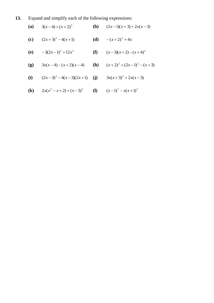**13.** Expand and simplify each of the following expressions:

(a) 
$$
3(x-4)+(x+2)^2
$$
  
\n(b)  $(2x-1)(x+3)+2x(x-3)$   
\n(c)  $(2x+3)^2-4(x+1)$   
\n(d)  $-(x+2)^2+4x$   
\n(e)  $-3(2x-1)^2+12x^2$   
\n(f)  $(x-3)(x+2)-(x+4)^2$   
\n(g)  $3x(x-4)-(x+2)(x-4)$   
\n(h)  $(x+2)^2+(2x-1)^2-(x+3)$ 

(i) 
$$
(2x-3)^2-4(x-3)(2x+1)
$$
 (j)  $3x(x+3)^2+2x(x-3)$ 

(k) 
$$
2x(x^2 - x + 2) + (x - 3)^2
$$
 (l)  $(x-1)^2 - x(x+1)^2$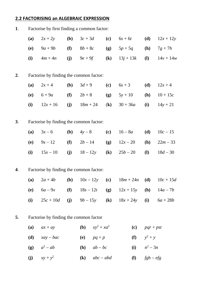#### **2.2 FACTORISING an ALGEBRAIC EXPRESSION**

| 1. | Factorise by first finding a common factor: |                                         |     |                               |                            |              |              |             |  |
|----|---------------------------------------------|-----------------------------------------|-----|-------------------------------|----------------------------|--------------|--------------|-------------|--|
|    | (a)                                         | $2x + 2y$                               | (b) | $3c+3d$                       | (c)                        | $6s + 6t$    | (d)          | $12x + 12y$ |  |
|    | <b>(e)</b>                                  | $9a + 9b$                               | (f) | $8b+8c$                       | <b>(g)</b>                 | $5p + 5q$    | (h)          | $7g + 7h$   |  |
|    | (i)                                         | $4m + 4n$                               | (j) | $9e + 9f$                     | $\left( \mathbf{k}\right)$ | $13j + 13k$  | ( <b>l</b> ) | $14v + 14w$ |  |
| 2. |                                             | Factorise by finding the common factor: |     |                               |                            |              |              |             |  |
|    | (a)                                         | $2x + 4$                                | (b) | $3d + 9$                      | (c)                        | $6s + 3$     | (d)          | $12x + 4$   |  |
|    | <b>(e)</b>                                  | $6 + 9a$                                | (f) | $2b + 8$                      | (g)                        | $5y + 10$    | (h)          | $10 + 15c$  |  |
|    | (i)                                         | $12x + 16$                              | (j) | $18m + 24$                    | $\left( \mathbf{k}\right)$ | $30 + 36a$   | (i)          | $14y + 21$  |  |
| 3. | Factorise by finding the common factor:     |                                         |     |                               |                            |              |              |             |  |
|    | (a)                                         | $3x - 6$                                | (b) | $4y-8$                        | (c)                        | $16 - 8a$    | (d)          | $10c - 15$  |  |
|    | (e)                                         | $9s - 12$                               | (f) | $2b - 14$                     | (g)                        | $12x - 20$   | (h)          | $22m - 33$  |  |
|    | (i)                                         | $15x - 10$                              | (j) | $18 - 12y$                    | $\left( \mathbf{k}\right)$ | $25b - 20$   | $\mathbf{I}$ | $18d - 30$  |  |
| 4. |                                             | Factorise by finding the common factor: |     |                               |                            |              |              |             |  |
|    | (a)                                         | $2a + 4b$                               | (b) | $10x - 12y$                   | (c)                        | $18m + 24n$  | (d)          | $10c + 15d$ |  |
|    | (e)                                         | $6a-9x$                                 | (f) | $18s - 12t$                   | (g)                        | $12x + 15y$  | (h)          | $14a - 7b$  |  |
|    | (i)                                         | $25c + 10d$                             | (j) | $9b - 15y$                    | $\left( \mathbf{k}\right)$ | $18x + 24y$  | (i)          | $6a + 28b$  |  |
| 5. |                                             | Factorise by finding the common factor  |     |                               |                            |              |              |             |  |
|    | (a)                                         | $ax + ay$                               |     | (b)<br>$xy^2 + xa^2$          |                            | (c)          | $pqr + pst$  |             |  |
|    | (d)                                         | $xay-bac$                               |     | <b>(e)</b><br>$pq + p$        |                            | (f)          | $y^2 + y$    |             |  |
|    | (g)                                         | $a^2 - ab$                              |     | (h)<br>$ab-bc$                |                            | (i)          | $n^2-3n$     |             |  |
|    | (j)                                         | $xy + y^2$                              |     | $(\mathbf{k})$<br>$abc - abd$ |                            | $\mathbf{I}$ | $fgh - efg$  |             |  |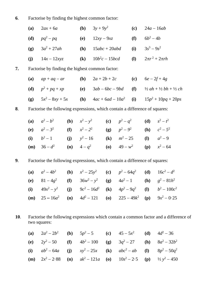## . Factorise by finding the highest common factor:

| (a) $2ax + 6a$    | (b) $3y + 9y^2$      | (c) $24a - 16ab$         |
|-------------------|----------------------|--------------------------|
| (d) $pq^2 - pq$   | (e) $12xy - 9xz$     | (f) $6b^2 - 4b$          |
| (g) $3a^2 + 27ah$ | (h) $15abc + 20abd$  | (i) $3s^3 - 9s^2$        |
| (j) $14x - 12xyz$ | (k) $10b^2c - 15bcd$ | (l) $2\pi r^2 + 2\pi rh$ |

**7.** Factorise by finding the highest common factor:

| (a) $ap + aq - ar$    | (b) $2a + 2b + 2c$      | (c) $6e - 2f + 4g$                                  |
|-----------------------|-------------------------|-----------------------------------------------------|
| (d) $p^2 + pq + xp$   | (e) $3ab - 6bc - 9bd$   | (f) $\frac{1}{2}ah + \frac{1}{2}bh + \frac{1}{2}ch$ |
| (g) $5x^2 - 8xy + 5x$ | (h) $4ac + 6ad - 10a^2$ | (i) $15p^2 + 10pq + 20ps$                           |

. Factorise the following expressions, which contain a difference of squares:

| (a) $a^2-b^2$ (b) $x^2-y^2$ (c) $p^2-q^2$ (d) $s^2-t^2$                                |  |  |  |
|----------------------------------------------------------------------------------------|--|--|--|
| (e) $a^2-3^2$ (f) $x^2-2^2$ (g) $p^2-9^2$ (h) $c^2-5^2$                                |  |  |  |
| (i) $b^2-1$ (j) $y^2-16$ (k) $m^2-25$ (l) $a^2-9$                                      |  |  |  |
| ( <b>m</b> ) $36-d^2$ ( <b>n</b> ) $4-q^2$ ( <b>o</b> ) $49-w^2$ ( <b>p</b> ) $x^2-64$ |  |  |  |

. Factorise the following expressions, which contain a difference of squares:

|  |  | (a) $a^2 - 4b^2$ (b) $x^2 - 25y^2$ (c) $p^2 - 64q^2$ (d) $16c^2 - d^2$                            |  |
|--|--|---------------------------------------------------------------------------------------------------|--|
|  |  | (e) $81-4g^2$ (f) $36w^2 - y^2$ (g) $4a^2 - 1$ (h) $g^2 - 81h^2$                                  |  |
|  |  | (i) $49x^2 - y^2$ (j) $9c^2 - 16d^2$ (k) $4p^2 - 9q^2$ (l) $b^2 - 100c^2$                         |  |
|  |  | ( <b>m</b> ) $25-16a^2$ ( <b>n</b> ) $4d^2-121$ ( <b>o</b> ) $225-49k^2$ ( <b>p</b> ) $9x^2-0.25$ |  |

. Factorise the following expressions which contain a common factor and a difference of two squares:

| (a) $2a^2 - 2b^2$ | (b) $5p^2 - 5$    | (c) $45 - 5x^2$   | (d) $4d^2 - 36$            |
|-------------------|-------------------|-------------------|----------------------------|
| (e) $2y^2 - 50$   | (f) $4b^2 - 100$  | (g) $3q^2 - 27$   | (h) $8a^2 - 32b^2$         |
| (i) $ab^2 - 64a$  | (j) $xy^2 - 25x$  | (k) $abc^2 - ab$  | (l) $8p^2 - 50q^2$         |
| (m) $2x^2 - 2.88$ | (n) $ak^2 - 121a$ | (o) $10s^2 - 2.5$ | (p) $\frac{1}{2}y^2 - 450$ |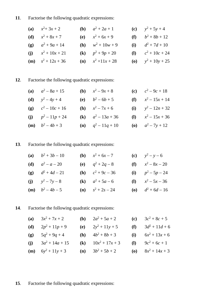#### . Factorise the following quadratic expressions:

| (a) $x^2+3x+2$                | ( <b>b</b> ) $a^2 + 2a + 1$   | (c) $y^2 + 5y + 4$   |
|-------------------------------|-------------------------------|----------------------|
| ( <b>d</b> ) $x^2 + 8x + 7$   | (e) $x^2 + 6x + 9$            | (f) $b^2 + 8b + 12$  |
| (g) $a^2 + 9a + 14$           | ( <b>h</b> ) $w^2 + 10w + 9$  | (i) $d^2 + 7d + 10$  |
| (j) $x^2 + 10x + 21$          | (k) $p^2 + 9p + 20$           | (1) $c^2 + 10c + 24$ |
| ( <b>m</b> ) $s^2 + 12s + 36$ | ( <b>n</b> ) $x^2 + 11x + 28$ | (o) $y^2 + 10y + 25$ |

## . Factorise the following quadratic expressions:

| (a) $a^2 - 8a + 15$         | ( <b>b</b> ) $x^2 - 9x + 8$   | (c) $c^2-9c+18$               |
|-----------------------------|-------------------------------|-------------------------------|
| ( <b>d</b> ) $y^2 - 4y + 4$ | (e) $b^2-6b+5$                | (f) $x^2 - 15x + 14$          |
| (g) $c^2 - 10c + 16$        | ( <b>h</b> ) $x^2 - 7x + 6$   | (i) $y^2 - 12n + 32$          |
| (j) $p^2 - 11p + 24$        | (k) $a^2 - 13a + 36$          | ( <b>l</b> ) $x^2 - 15x + 36$ |
| ( <b>m</b> ) $b^2-4b+3$     | ( <b>n</b> ) $q^2 - 11q + 10$ | ( <b>o</b> ) $a^2 - 7y + 12$  |

#### . Factorise the following quadratic expressions:

| (a) $b^2 + 3b - 10$         | ( <b>b</b> ) $x^2 + 6x - 7$  | (c) $y^2 - y - 6$            |
|-----------------------------|------------------------------|------------------------------|
| ( <b>d</b> ) $a^2 - a - 20$ | (e) $q^2 + 2q - 8$           | (f) $x^2 - 8x - 20$          |
| (g) $d^2 + 4d - 21$         | ( <b>h</b> ) $c^2 + 9c - 36$ | (i) $p^2 - 5p - 24$          |
| (j) $y^2 - 7y - 8$          | ( <b>k</b> ) $a^2 + 5a - 6$  | (1) $x^2 - 5x - 36$          |
| ( <b>m</b> ) $b^2 - 4b - 5$ | ( <b>n</b> ) $s^2 + 2s - 24$ | ( <b>o</b> ) $d^2 + 6d - 16$ |

# . Factorise the following quadratic expressions:

| (a) $3x^2 + 7x + 2$           |  |                                                                                                                                               | (c) $3c^2 + 8c + 5$  |
|-------------------------------|--|-----------------------------------------------------------------------------------------------------------------------------------------------|----------------------|
| (d) $2p^2 + 11p + 9$          |  |                                                                                                                                               | (f) $3d^2 + 11d + 6$ |
| (g) $5q^2 + 9q + 4$           |  |                                                                                                                                               | (i) $6x^2 + 13x + 6$ |
| (j) $3a^2 + 14a + 15$         |  |                                                                                                                                               | (1) $9c^2 + 6c + 1$  |
| ( <b>m</b> ) $6y^2 + 11y + 3$ |  |                                                                                                                                               | (o) $8x^2 + 14x + 3$ |
|                               |  | ( <b>b</b> ) $2a^2 + 5a + 2$<br>(e) $2y^2 + 11y + 5$<br>( <b>h</b> ) $4b^2 + 8b + 3$<br>(k) $10x^2 + 17x + 3$<br>( <b>n</b> ) $3b^2 + 5b + 2$ |                      |

## . Factorise the following quadratic expressions: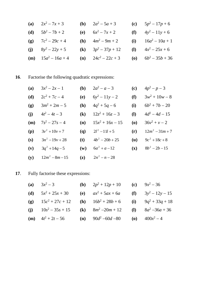| (a) $2x^2 - 7x + 3$            | ( <b>b</b> ) $2a^2 - 5a + 3$   | (c) $5p^2 - 17p + 6$           |
|--------------------------------|--------------------------------|--------------------------------|
| ( <b>d</b> ) $5b^2 - 7b + 2$   | (e) $6x^2 - 7x + 2$            | (f) $4y^2 - 11y + 6$           |
| (g) $7c^2 - 29c + 4$           | ( <b>h</b> ) $4m^2 - 9m + 2$   | (i) $16a^2 - 10a + 1$          |
| (j) $8y^2 - 22y + 5$           | (k) $3p^2 - 37p + 12$          | (1) $4x^2 - 25x + 6$           |
| ( <b>m</b> ) $15a^2 - 16a + 4$ | ( <b>n</b> ) $24c^2 - 22c + 3$ | ( <b>o</b> ) $6b^2 - 35b + 36$ |

# . Factorise the following quadratic expressions:

| (a) | $3x^2 - 2x - 1$   | (b)            | $2a^2 - a - 3$     | (c)                                      | $4p^2 - p - 3$    |
|-----|-------------------|----------------|--------------------|------------------------------------------|-------------------|
| (d) | $2c^2 + 7c - 4$   | (e)            | $6y^2 - 11y - 2$   | (f)                                      | $3w^2 + 10w - 8$  |
| (g) | $3m^2 + 2m - 5$   | <b>(h)</b>     | $4q^2 + 5q - 6$    | (i)                                      | $6b^2 + 7b - 20$  |
| (j) | $4t^2-4t-3$       | (k)            | $12z^2 + 16z - 3$  | <b>(I)</b>                               | $4d^2 - 4d - 15$  |
| (m) | $7s^2 - 27s - 4$  | (n)            | $15x^2 + 16x - 15$ | $\boldsymbol{\left( \mathbf{0} \right)}$ | $36v^2 + v - 2$   |
| (p) | $3v^2 + 10v + 7$  | (q)            | $2l^2 - 11l + 5$   | (r)                                      | $12m^2 - 31m + 7$ |
| (s) | $3n^2-19y+28$     | (t)            | $4b^2 - 20b + 25$  | (u)                                      | $9c^2 + 18c + 8$  |
| (v) | $3q^2 + 14q - 5$  | $(\mathbf{w})$ | $6a^2 + a - 12$    | $(\mathbf{x})$                           | $8b^2-2b-15$      |
| (y) | $12m^2 - 8m - 15$ | $(\mathbf{z})$ | $2n^2 - n - 28$    |                                          |                   |

# . Fully factorise these expressions:

| (a) $3x^2-3$                                                                            | ( <b>b</b> ) $2p^2 + 12p + 10$ ( <b>c</b> ) $9x^2 - 36$ |  |
|-----------------------------------------------------------------------------------------|---------------------------------------------------------|--|
| (d) $5x^2 + 25x + 30$ (e) $ax^2 + 5ax + 6a$ (f) $3y^2 - 12y - 15$                       |                                                         |  |
| (g) $15c^2 + 27c + 12$ (h) $16b^2 + 28b + 6$ (i) $9q^2 + 33q + 18$                      |                                                         |  |
| (j) $10s^2 - 35s + 15$ (k) $8m^2 - 20m + 12$ (l) $8a^2 - 36a + 36$                      |                                                         |  |
| ( <b>m</b> ) $4t^2 + 2t - 56$ ( <b>n</b> ) $90d^2 - 60d - 80$ ( <b>o</b> ) $400x^2 - 4$ |                                                         |  |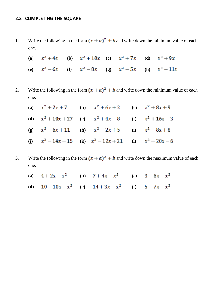#### **2.3 COMPLETING THE SQUARE**

**1.** Write the following in the form  $(x + a)^2 + b$  and write down the minimum value of each one.

|  | (a) $x^2 + 4x$ (b) $x^2 + 10x$ (c) $x^2 + 7x$ (d) $x^2 + 9x$ |  |  |
|--|--------------------------------------------------------------|--|--|
|  | (e) $x^2 - 6x$ (f) $x^2 - 8x$ (g) $x^2 - 5x$ (h) $x^2 - 11x$ |  |  |

**2.** Write the following in the form  $(x + a)^2 + b$  and write down the minimum value of each one.

| (a) $x^2 + 2x + 7$ (b) $x^2 + 6x + 2$ (c) $x^2 + 8x + 9$      |  |  |
|---------------------------------------------------------------|--|--|
| (d) $x^2 + 10x + 27$ (e) $x^2 + 4x - 8$ (f) $x^2 + 16x - 3$   |  |  |
| (g) $x^2 - 6x + 11$ (h) $x^2 - 2x + 5$ (i) $x^2 - 8x + 8$     |  |  |
| (j) $x^2 - 14x - 15$ (k) $x^2 - 12x + 21$ (l) $x^2 - 20x - 6$ |  |  |

- **3.** Write the following in the form  $(x + a)^2 + b$  and write down the maximum value of each one.
	- (a)  $4 + 2x x^2$  (b)  $7 + 4x x^2$  (c)  $3 6x x^2$
	- **(d)**  $10-10x-x^2$  **(e)**  $14+3x-x^2$  **(f)**  $5-7x-x^2$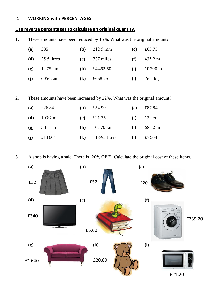#### **.1 WORKING with PERCENTAGES**

#### **Use reverse percentages to calculate an original quantity.**

**1.** These amounts have been reduced by 15%. What was the original amount?

| (a) | £85                   |              | ( <b>b</b> ) $212.5 \text{ mm}$ | (c) | £63.75                |
|-----|-----------------------|--------------|---------------------------------|-----|-----------------------|
|     | (d) $25.5$ litres     |              | (e) $357$ miles                 | (f) | $435.2 \text{ m}$     |
|     | (g) $1275 \text{ km}$ |              | ( <b>h</b> ) £4462.50           | (i) | $10\,200 \text{ m}$   |
| (j) | $605.2$ cm            | $\mathbf{k}$ | £658.75                         |     | (1) $76.5 \text{ kg}$ |

**2.** These amounts have been increased by 22%. What was the original amount?

| (a) | £26.84                  | ( <b>b</b> ) | £54.90              | (c)          | £87.84            |
|-----|-------------------------|--------------|---------------------|--------------|-------------------|
|     | ( <b>d</b> ) $103.7$ ml |              | (e) $\pounds 21.35$ |              | $(f)$ 122 cm      |
|     | (g) $3111 \text{ m}$    |              | $(h)$ 10 370 km     | (i)          | $68.32 \text{ m}$ |
| (j) | £13664                  |              | $(k)$ 118.95 litres | ( <b>l</b> ) | £7564             |

**3.** A shop is having a sale. There is '20% OFF'. Calculate the original cost of these items.

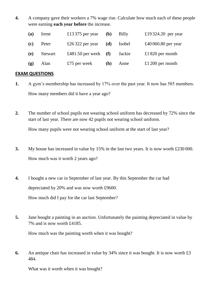**4.** A company gave their workers a 7% wage rise. Calculate how much each of these people were earning **each year before** the increase.

| (a) | Irene   | £13 375 per year       | (b)        | Billy  | £19324.20 per year  |
|-----|---------|------------------------|------------|--------|---------------------|
| (c) | Peter   | £26322 per year        | (d)        | Isobel | £40 060.80 per year |
| (e) | Stewart | £481.50 per week $(f)$ |            | Jackie | £1820 per month     |
| (g) | Alan    | £75 per week           | <b>(h)</b> | Anne   | £1 200 per month    |

#### **EXAM QUESTIONS**

- **1.** A gym's membership has increased by 17% over the past year. It now has 585 members. How many members did it have a year ago?
- **2.** The number of school pupils not wearing school uniform has decreased by 72% since the start of last year. There are now 42 pupils not wearing school uniform.

How many pupils were not wearing school uniform at the start of last year?

- **3.** My house has increased in value by 15% in the last two years. It is now worth £230 000. How much was it worth 2 years ago?
- **4.** I bought a new car in September of last year. By this September the car had depreciated by 20% and was now worth £9600. How much did I pay for the car last September?
- **5.** Jane bought a painting in an auction. Unfortunately the painting depreciated in value by 7% and is now worth £4185.

How much was the painting worth when it was bought?

**6.** An antique chair has increased in value by 34% since it was bought. It is now worth £3 484.

What was it worth when it was bought?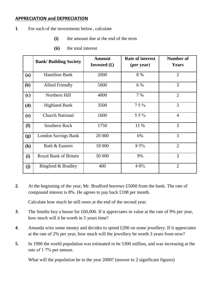#### **APPRECIATION and DEPRECIATION**

- **1**. For each of the investments below, calculate
	- **(i)** the amount due at the end of the term
	- **(ii)** the total interest

|            | <b>Bank/Building Society</b> | <b>Amount</b><br>Invested $(\pounds)$ | <b>Rate of interest</b><br>(per year) | Number of<br><b>Years</b> |
|------------|------------------------------|---------------------------------------|---------------------------------------|---------------------------|
| <b>(a)</b> | <b>Hamilton Bank</b>         | 2000                                  | 8 %                                   | $\overline{2}$            |
| (b)        | <b>Allied Friendly</b>       | 5000                                  | 6 %                                   | $\overline{3}$            |
| (c)        | Northern Hill                | 4800                                  | 7 %                                   | $\overline{2}$            |
| (d)        | <b>Highland Bank</b>         | 3500                                  | $7.5\%$                               | 3                         |
| (e)        | <b>Church National</b>       | 1600                                  | $5.5\%$                               | $\overline{4}$            |
| (f)        | Southern Rock                | 1750                                  | 11 %                                  | 3                         |
| (g)        | <b>London Savings Bank</b>   | 20 000                                | 6%                                    | 3                         |
| (h)        | Bath & Eastern               | 18 000                                | 8.5%                                  | $\overline{2}$            |
| (i)        | Royal Bank of Britain        | 50 000                                | 9%                                    | 3                         |
| (j)        | Bingford & Bradley           | 400                                   | 4.8%                                  | $\overline{2}$            |

**2**. At the beginning of the year, Mr. Bradford borrows £5000 from the bank. The rate of compound interest is 8%. He agrees to pay back £108 per month.

Calculate how much he still owes at the end of the second year.

- **3**. The Smiths buy a house for £60,000. If it appreciates in value at the rate of 9% per year, how much will it be worth in 5 years time?
- **4**. Amanda wins some money and decides to spend £200 on some jewellery. If it appreciates at the rate of 2% per year, how much will the jewellery be worth 3 years from now?
- **5**. In 1990 the world population was estimated to be 5300 million, and was increasing at the rate of 1∙7% per annum.

What will the population be in the year 2000? (answer to 2 significant figures)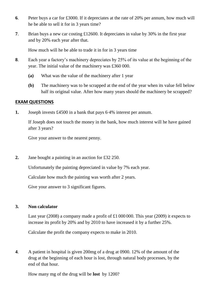- **6**. Peter buys a car for £3000. If it depreciates at the rate of 20% per annum, how much will he be able to sell it for in 3 years time?
- **7**. Brian buys a new car costing £12600. It depreciates in value by 30% in the first year and by 20% each year after that.

How much will he be able to trade it in for in 3 years time

- **8**. Each year a factory's machinery depreciates by 25% of its value at the beginning of the year. The initial value of the machinery was £360 000.
	- **(a)** What was the value of the machinery after 1 year
	- **(b)** The machinery was to be scrapped at the end of the year when its value fell below half its original value. After how many years should the machinery be scrapped?

#### **EXAM QUESTIONS**

**1.** Joseph invests £4500 in a bank that pays 6∙4% interest per annum.

If Joseph does not touch the money in the bank, how much interest will he have gained after 3 years?

Give your answer to the nearest penny.

**2.** Jane bought a painting in an auction for £32 250.

Unfortunately the painting depreciated in value by 7% each year.

Calculate how much the painting was worth after 2 years.

Give your answer to 3 significant figures.

#### **3. Non calculator**

Last year (2008) a company made a profit of £1 000 000. This year (2009) it expects to increase its profit by 20% and by 2010 to have increased it by a further 25%.

Calculate the profit the company expects to make in 2010.

**4**. A patient in hospital is given 200mg of a drug at 0900. 12% of the amount of the drug at the beginning of each hour is lost, through natural body processes, by the end of that hour.

How many mg of the drug will be **lost** by 1200?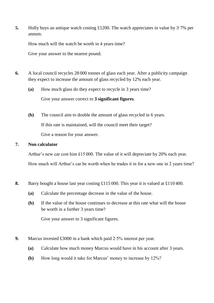**5.** Holly buys an antique watch costing £1200. The watch appreciates in value by 3·7% per annum.

How much will the watch be worth in 4 years time?

Give your answer to the nearest pound.

- **6.** A local council recycles 28 000 tonnes of glass each year. After a publicity campaign they expect to increase the amount of glass recycled by 12% each year.
	- **(a)** How much glass do they expect to recycle in 3 years time? Give your answer correct to **3 significant figures**.
	- **(b)** The council aim to double the amount of glass recycled in 6 years. If this rate is maintained, will the council meet their target? Give a reason for your answer.

#### **7. Non calculator**

Arthur's new car cost him £15 000. The value of it will depreciate by 20% each year.

How much will Arthur's car be worth when he trades it in for a new one in 2 years time?

- **8.** Barry bought a house last year costing £115 000. This year it is valued at £110 400.
	- **(a)** Calculate the percentage decrease in the value of the house.
	- **(b)** If the value of the house continues to decrease at this rate what will the house be worth in a further 3 years time?

Give your answer to 3 significant figures.

- **9.** Marcus invested £3000 in a bank which paid 2⋅5% interest per year.
	- **(a)** Calculate how much money Marcus would have in his account after 3 years.
	- **(b)** How long would it take for Marcus' money to increase by 12%?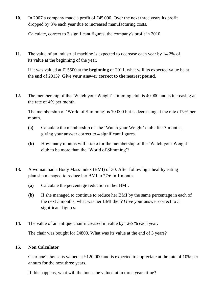**10.** In 2007 a company made a profit of £45 000. Over the next three years its profit dropped by 3% each year due to increased manufacturing costs.

Calculate, correct to 3 significant figures, the company's profit in 2010.

**11.** The value of an industrial machine is expected to decrease each year by 142% of its value at the beginning of the year.

If it was valued at £15500 at the **beginning** of 2011, what will its expected value be at the **end** of 2013? **Give your answer correct to the nearest pound**.

**12.** The membership of the 'Watch your Weight' slimming club is 40 000 and is increasing at the rate of 4% per month.

The membership of 'World of Slimming' is 70 000 but is decreasing at the rate of 9% per month.

- **(a)** Calculate the membership of the 'Watch your Weight' club after 3 months, giving your answer correct to 4 significant figures.
- **(b)** How many months will it take for the membership of the 'Watch your Weight' club to be more than the 'World of Slimming'?
- **13.** A woman had a Body Mass Index (BMI) of 30. After following a healthy eating plan she managed to reduce her BMI to 27∙6 in 1 month.
	- **(a)** Calculate the percentage reduction in her BMI.
	- **(b)** If she managed to continue to reduce her BMI by the same percentage in each of the next 3 months, what was her BMI then? Give your answer correct to 3 significant figures.
- **14.** The value of an antique chair increased in value by 12½ % each year.

The chair was bought for £4800. What was its value at the end of 3 years?

#### **15. Non Calculator**

Charlene's house is valued at £120 000 and is expected to appreciate at the rate of 10% per annum for the next three years.

If this happens, what will the house be valued at in three years time?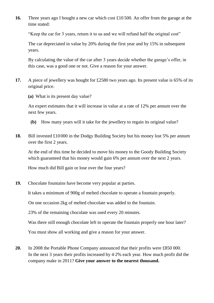**16.** Three years ago I bought a new car which cost £10 500. An offer from the garage at the time stated:

"Keep the car for 3 years, return it to us and we will refund half the original cost"

The car depreciated in value by 20% during the first year and by 15% in subsequent years.

By calculating the value of the car after 3 years decide whether the garage's offer, in this case, was a good one or not. Give a reason for your answer.

- **17.** A piece of jewellery was bought for £2580 two years ago. Its present value is 65% of its original price.
	- **(a)** What is its present day value?

An expert estimates that it will increase in value at a rate of 12% per annum over the next few years.

- **(b)** How many years will it take for the jewellery to regain its original value?
- **18.** Bill invested £10 000 in the Dodgy Building Society but his money lost 5% per annum over the first 2 years.

At the end of this time he decided to move his money to the Goody Building Society which guaranteed that his money would gain 6% per annum over the next 2 years.

How much did Bill gain or lose over the four years?

**19.** Chocolate fountains have become very popular at parties.

It takes a minimum of 900g of melted chocolate to operate a fountain properly.

On one occasion 2kg of melted chocolate was added to the fountain.

23% of the remaining chocolate was used every 20 minutes.

Was there still enough chocolate left to operate the fountain properly one hour later?

You must show all working and give a reason for your answer.

**20.** In 2008 the Portable Phone Company announced that their profits were £850 000. In the next 3 years their profits increased by 42% each year. How much profit did the company make in 2011? **Give your answer to the nearest thousand.**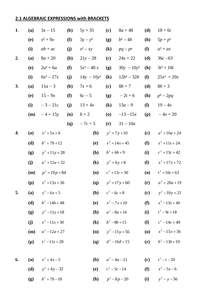### **2.1 ALGEBRAIC EXPRESSIONS with BRACKETS**

| 1. | (a)        | $3x - 15$        | (b)        | $5y + 35$                  | (c)                                      | $8a + 48$          | (d)                                      | $18 + 6t$        |
|----|------------|------------------|------------|----------------------------|------------------------------------------|--------------------|------------------------------------------|------------------|
|    | <b>(e)</b> | $x^2+9x$         | (f)        | $3y - y^2$                 | (g)                                      | $b^2 - 4b$         | (h)                                      | $5p + p^2$       |
|    | (i)        | $ab + ac$        | (j)        | $x^2 - xy$                 | $\left( \mathbf{k}\right)$               | $pq-pr$            | ( <b>l</b> )                             | $a^2 + ax$       |
| 2. | (a)        | $8a+20$          | <b>(b)</b> | $21y - 28$                 | (c)                                      | $24x + 22$         | (d)                                      | $36c - 63$       |
|    | (e)        | $2a^2 + 6a$      | (f)        | $5x^2 - 40x$               | <b>(g)</b>                               | $30y - 10y^2$      | (h)                                      | $3t^2 + 18t$     |
|    | (i)        | $6x^2 - 27x$     | (j)        | $14y - 10y^2$              | $\left( \mathbf{k}\right)$               | $12b^2 - 32b$      | $\mathbf{I}$                             | $25x^2 + 20x$    |
| 3. | (a)        | $11a - 3$        | <b>(b)</b> | $7x + 6$                   | (c)                                      | $8b + 7$           | (d)                                      | $8h + 3$         |
|    | <b>(e)</b> | $15 - 9x$        | (f)        | $6c - 5$                   | <b>(g)</b>                               | $-2t + 6$          | <b>(h)</b>                               | $p^2-2pq$        |
|    | (i)        | $-3 - 21c$       | (j)        | $13 + 4x$                  | $\left( \mathbf{k}\right)$               | $13a - 9$          | ( <b>l</b> )                             | $19 - 4x$        |
|    | (m)        | $-4 + 15y$       | (n)        | $b+2$                      | $\boldsymbol{\left( \mathbf{0}\right) }$ | $-13 - 15x$        | (p)                                      | $-4x + 20$       |
|    |            |                  | <b>(q)</b> | $-7c + 5$                  | (r)                                      | $31 - 10a$         |                                          |                  |
| 4. | (a)        | $x^2 + 5x + 6$   |            | <b>(b)</b>                 |                                          | $y^2 + 7y + 10$    | (c)                                      | $a^2 + 10a + 24$ |
|    | (d)        | $b^2 + 7b + 12$  |            | <b>(e)</b>                 |                                          | $x^2 + 14x + 45$   | (f)                                      | $s^2 + 11s + 24$ |
|    | (g)        | $y^2 + 11y + 28$ |            | <b>(h)</b>                 | $b^2 + 6b + 9$                           |                    | (i)                                      | $c^2 + 13c + 42$ |
|    | (j)        | $a^2 + 12a + 32$ |            | $\left( \mathbf{k}\right)$ |                                          | $y^2 + 6y + 8$     | $\mathbf{I}$                             | $x^2 + 17x + 72$ |
|    | (m)        | $p^2 + 19p + 84$ |            | (n)                        |                                          | $c^2 + 11c + 30$   | $\boldsymbol{\left( \mathbf{0} \right)}$ | $t^2+16t+63$     |
|    | (p)        | $x^2 + 13x + 36$ |            | <b>(q)</b>                 |                                          | $y^2 + 17y + 60$   | (r)                                      | $a^2 + 20a + 19$ |
| 5. | (a)        | $x^2 - 6x + 5$   |            | (b)                        | $c^2 - 6c + 8$                           |                    | (c)                                      | $y^2 - 10y + 21$ |
|    | (d)        | $b^2 - 14b + 48$ |            | <b>(e)</b>                 |                                          | $x^2 - 7x + 10$    | (f)                                      | $s^2 - 13s + 40$ |
|    | (g)        | $y^2 - 11y + 18$ |            | (h)                        |                                          | $a^2 - 8a + 16$    | (i)                                      | $t^2-9t+18$      |
|    | (j)        | $x^2-11x+30$     |            | $\left( \mathbf{k}\right)$ |                                          | $b^2 - 8b + 15$    | $\mathbf{I}$                             | $c^2 - 14c + 40$ |
|    | (m)        | $a^2 - 12a + 27$ |            | (n)                        |                                          | $y^2 - 15y + 56$   | $\boldsymbol{\left( \mathbf{0}\right) }$ | $x^2 - 15x + 36$ |
|    | (p)        | $s^2 - 11s + 28$ |            | <b>(q)</b>                 |                                          | $d^2-16d+15$       | (r)                                      | $b^2 - 11b + 10$ |
|    |            |                  |            |                            |                                          |                    |                                          |                  |
| 6. | (a)        | $x^2 + 4x - 5$   |            | (b)                        |                                          | $a^2 - 4a - 21$    | (c)                                      | $t^2 - t - 20$   |
|    | (d)        | $y^2 + 4y - 32$  |            | <b>(e)</b>                 |                                          | $c^2$ – 5 $c$ – 14 | (f)                                      | $x^2 - 5x - 6$   |
|    | (g)        | $b^2 + 7b - 18$  |            | (h)                        |                                          | $p^2-8p-20$        | (i)                                      | $y^2 - y - 56$   |

**(g)**  $b^2 + 7b - 18$  **(h)**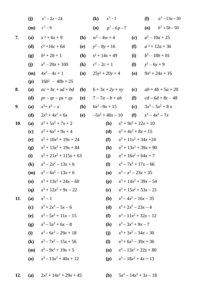| (j)        | $z^2 - 2z - 24$                                                                                                                                                            |                                                                                                                                                                         | $x^2-1$<br>$\left( \mathbf{k}\right)$                                                                                                                                                                                  |                                                                                                                                         | ( <b>l</b> )                | $a^2 - 13a - 30$                                                                                                                                                                                                                                                                                                                                                                                                                                                                             |
|------------|----------------------------------------------------------------------------------------------------------------------------------------------------------------------------|-------------------------------------------------------------------------------------------------------------------------------------------------------------------------|------------------------------------------------------------------------------------------------------------------------------------------------------------------------------------------------------------------------|-----------------------------------------------------------------------------------------------------------------------------------------|-----------------------------|----------------------------------------------------------------------------------------------------------------------------------------------------------------------------------------------------------------------------------------------------------------------------------------------------------------------------------------------------------------------------------------------------------------------------------------------------------------------------------------------|
| (m)        | $c^2 - 9$                                                                                                                                                                  |                                                                                                                                                                         |                                                                                                                                                                                                                        |                                                                                                                                         |                             | ( <b>o</b> ) $b^2 + 5b - 50$                                                                                                                                                                                                                                                                                                                                                                                                                                                                 |
| (a)        | $x^2 + 6x + 9$                                                                                                                                                             | <b>(b)</b>                                                                                                                                                              | $w^2 - 4w + 4$                                                                                                                                                                                                         | (c)                                                                                                                                     |                             | $a^2 - 10a + 25$                                                                                                                                                                                                                                                                                                                                                                                                                                                                             |
| (d)        | $c^2 + 16c + 64$                                                                                                                                                           | <b>(e)</b>                                                                                                                                                              | $y^2 - 8y + 16$                                                                                                                                                                                                        | (f)                                                                                                                                     |                             | $a^2 + 12a + 36$                                                                                                                                                                                                                                                                                                                                                                                                                                                                             |
| (g)        | $b^2 + 2b + 1$                                                                                                                                                             | (h)                                                                                                                                                                     | $s^2$ + 14s + 49                                                                                                                                                                                                       | (i)                                                                                                                                     |                             | $b^2 - 18b + 81$                                                                                                                                                                                                                                                                                                                                                                                                                                                                             |
| (j)        | $x^2-20x+100$                                                                                                                                                              | $\left( \mathbf{k}\right)$                                                                                                                                              | $c^2 - 2c + 1$                                                                                                                                                                                                         | ( <b>l</b> )                                                                                                                            | $y^2 - 6y + 9$              |                                                                                                                                                                                                                                                                                                                                                                                                                                                                                              |
| (m)        | $4x^2-4x+1$                                                                                                                                                                | (n)                                                                                                                                                                     | $25y^2 + 20y + 4$                                                                                                                                                                                                      | <b>(0)</b>                                                                                                                              |                             | $9x^2 + 24x + 16$                                                                                                                                                                                                                                                                                                                                                                                                                                                                            |
| (p)        | $16b^2 - 40b + 25$                                                                                                                                                         |                                                                                                                                                                         |                                                                                                                                                                                                                        |                                                                                                                                         |                             |                                                                                                                                                                                                                                                                                                                                                                                                                                                                                              |
| (a)        | $ac + bc + ad + bd$                                                                                                                                                        | <b>(b)</b>                                                                                                                                                              | $6 + 3x + 2y + xy$                                                                                                                                                                                                     | (c)                                                                                                                                     |                             | $ab + 4b + 5a + 20$                                                                                                                                                                                                                                                                                                                                                                                                                                                                          |
| (d)        | $pr - qr - ps + qs$                                                                                                                                                        | <b>(e)</b>                                                                                                                                                              | $7 - 7a - b + ab$                                                                                                                                                                                                      | (f)                                                                                                                                     |                             | $cd - 6d + 8c - 48$                                                                                                                                                                                                                                                                                                                                                                                                                                                                          |
| (a)        | $x^3 + x^2 - x$                                                                                                                                                            | (b)                                                                                                                                                                     | $6x^2-9x+15$                                                                                                                                                                                                           |                                                                                                                                         |                             | $3x^3 - 5x^2 + 8x$                                                                                                                                                                                                                                                                                                                                                                                                                                                                           |
| (d)        | $2x^3 + 4x^2 + 6x$                                                                                                                                                         | <b>(e)</b>                                                                                                                                                              | $-5x^2 + 40x - 10$                                                                                                                                                                                                     | (f)                                                                                                                                     |                             | $x^3 - 4x^2 - 7x$                                                                                                                                                                                                                                                                                                                                                                                                                                                                            |
| (a)        | $x^3 + 5x^2 + 7x + 2$                                                                                                                                                      |                                                                                                                                                                         | ( <b>b</b> )                                                                                                                                                                                                           |                                                                                                                                         |                             |                                                                                                                                                                                                                                                                                                                                                                                                                                                                                              |
| (c)        | $x^3 + 6x^2 + 9x + 4$                                                                                                                                                      |                                                                                                                                                                         | (d)                                                                                                                                                                                                                    |                                                                                                                                         |                             |                                                                                                                                                                                                                                                                                                                                                                                                                                                                                              |
| <b>(e)</b> |                                                                                                                                                                            |                                                                                                                                                                         | (f)                                                                                                                                                                                                                    |                                                                                                                                         |                             |                                                                                                                                                                                                                                                                                                                                                                                                                                                                                              |
| (g)        |                                                                                                                                                                            |                                                                                                                                                                         | <b>(h)</b>                                                                                                                                                                                                             |                                                                                                                                         |                             |                                                                                                                                                                                                                                                                                                                                                                                                                                                                                              |
|            |                                                                                                                                                                            |                                                                                                                                                                         |                                                                                                                                                                                                                        |                                                                                                                                         |                             |                                                                                                                                                                                                                                                                                                                                                                                                                                                                                              |
|            |                                                                                                                                                                            |                                                                                                                                                                         |                                                                                                                                                                                                                        |                                                                                                                                         |                             |                                                                                                                                                                                                                                                                                                                                                                                                                                                                                              |
|            |                                                                                                                                                                            |                                                                                                                                                                         |                                                                                                                                                                                                                        |                                                                                                                                         |                             |                                                                                                                                                                                                                                                                                                                                                                                                                                                                                              |
|            |                                                                                                                                                                            |                                                                                                                                                                         |                                                                                                                                                                                                                        |                                                                                                                                         |                             |                                                                                                                                                                                                                                                                                                                                                                                                                                                                                              |
|            |                                                                                                                                                                            |                                                                                                                                                                         |                                                                                                                                                                                                                        |                                                                                                                                         |                             |                                                                                                                                                                                                                                                                                                                                                                                                                                                                                              |
|            |                                                                                                                                                                            |                                                                                                                                                                         |                                                                                                                                                                                                                        |                                                                                                                                         |                             |                                                                                                                                                                                                                                                                                                                                                                                                                                                                                              |
|            |                                                                                                                                                                            |                                                                                                                                                                         |                                                                                                                                                                                                                        |                                                                                                                                         |                             |                                                                                                                                                                                                                                                                                                                                                                                                                                                                                              |
|            |                                                                                                                                                                            |                                                                                                                                                                         |                                                                                                                                                                                                                        |                                                                                                                                         |                             |                                                                                                                                                                                                                                                                                                                                                                                                                                                                                              |
|            |                                                                                                                                                                            |                                                                                                                                                                         |                                                                                                                                                                                                                        |                                                                                                                                         |                             |                                                                                                                                                                                                                                                                                                                                                                                                                                                                                              |
|            |                                                                                                                                                                            |                                                                                                                                                                         |                                                                                                                                                                                                                        |                                                                                                                                         |                             |                                                                                                                                                                                                                                                                                                                                                                                                                                                                                              |
|            |                                                                                                                                                                            |                                                                                                                                                                         |                                                                                                                                                                                                                        |                                                                                                                                         |                             |                                                                                                                                                                                                                                                                                                                                                                                                                                                                                              |
|            |                                                                                                                                                                            |                                                                                                                                                                         |                                                                                                                                                                                                                        |                                                                                                                                         |                             |                                                                                                                                                                                                                                                                                                                                                                                                                                                                                              |
|            |                                                                                                                                                                            |                                                                                                                                                                         |                                                                                                                                                                                                                        |                                                                                                                                         |                             |                                                                                                                                                                                                                                                                                                                                                                                                                                                                                              |
| (a)        |                                                                                                                                                                            |                                                                                                                                                                         | ( <b>b</b> )                                                                                                                                                                                                           |                                                                                                                                         |                             |                                                                                                                                                                                                                                                                                                                                                                                                                                                                                              |
|            | (i)<br>$\left( \mathbf{k}\right)$<br>(m)<br>$\boldsymbol{\left( \mathbf{0} \right)}$<br>(q)<br>(a)<br>(c)<br>(e)<br>(g)<br>(i)<br>$\left( \mathbf{k}\right)$<br>(m)<br>(0) | $x^3-2x^2-13x+6$<br>$x^3-6x^2-13x+6$<br>$x^3 - 1$<br>$x^3 + 2x^2 - 5x - 6$<br>$x^3 - 5x^2 + 11x - 15$<br>$x^3 - 5x^2 + 6x - 8$<br>$x^3-6x^2-29x+18$<br>$x^3-9x^2+19x+5$ | $x^3 + 10x^2 + 19x + 24$<br>$x^3 + 13x^2 + 19x + 84$<br>$x^3 + 21x^2 + 115x + 63$<br>$x^3 + 13x^2 + 24x - 60$<br>$x^3 + 12x^2 + 9x - 22$<br>$x^3 - 7x^2 - 15x + 56$<br>$x^3-13x^2+40x+12$<br>$2x^3 + 14x^2 + 29x + 45$ | (j)<br>$\left( \mathbf{l}\right)$<br>(n)<br>(p)<br>(r)<br>( <b>b</b> )<br>(d)<br>(f)<br><b>(h)</b><br>(i)<br>( <b>l</b> )<br>(n)<br>(p) | ( <b>n</b> ) $p^2 - 6p - 7$ | (c)<br>$x^3 + 9x^2 + 22x + 10$<br>$x^3 + 4x^2 + 8x + 15$<br>$x^3 + 11x^2 + 34x + 24$<br>$x^3 + 13x^2 + 39x + 90$<br>$x^3 + 16x^2 + 64x + 7$<br>$x^3 - 7x^2 + 17x - 66$<br>$x^3 - x^2 - 23x + 35$<br>$x^3 + 14x^2 + 39x - 54$<br>$x^3 + 15x^2 + 53x - 21$<br>$x^3 - 4x^2 - 16x - 35$<br>$x^3 + 2x^2 - 23x - 4$<br>$x^3-11x^2+32x-12$<br>$x^3-3x^2+9x-7$<br>$x^3 + 3x^2 - 34x - 30$<br>$x^3$ + 6 $x^2$ – 39x + 36<br>$x^3 - 13x^2 + 22x + 80$<br>$x^3-18x^2+4x+13$<br>$5x^3 - 14x^2 + 3x - 18$ |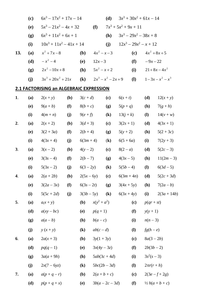|     | (c)        | $6x^3 - 17x^2 + 17x - 14$               |            |                            |                               | (d)                        |                         |              | $3x^3 + 30x^2 + 61x - 14$ |                       |
|-----|------------|-----------------------------------------|------------|----------------------------|-------------------------------|----------------------------|-------------------------|--------------|---------------------------|-----------------------|
|     | (e)        | $5x^3 - 21x^2 - 4x + 32$                |            |                            | (f)                           |                            | $7x^3 + 5x^2 + 9x + 11$ |              |                           |                       |
|     | (g)        | $6x^3 + 11x^2 + 6x + 1$                 |            |                            |                               | (h)                        |                         |              | $3x^3 - 29x^2 - 38x + 8$  |                       |
|     | (i)        | $10x^3 + 11x^2 - 41x + 14$              |            |                            |                               | (j)                        |                         |              | $12x^3 - 29x^2 - x + 12$  |                       |
| 13. | (a)        | $x^2 + 7x - 8$                          |            | (b)                        | $4x^2 - x - 3$                |                            |                         | (c)          |                           | $4x^2 + 8x + 5$       |
|     | (d)        | $-x^2-4$                                |            | (e)                        | $12x - 3$                     |                            |                         | (f)          | $-9x - 22$                |                       |
|     | (g)        | $2x^2-10x+8$                            |            | (h)                        | $5x^2 - x + 2$                |                            |                         | (i)          |                           | $21+8x-4x^2$          |
|     | (j)        | $3x^3 + 20x^2 + 21x$                    |            | $\left( \mathbf{k}\right)$ |                               | $2x^3 - x^2 - 2x + 9$      |                         | $\mathbf{I}$ |                           | $1-3x-x^2-x^3$        |
|     |            | 2.1 FACTORISING an ALGEBRAIC EXPRESSION |            |                            |                               |                            |                         |              |                           |                       |
| 1.  | (a)        | $2(x+y)$                                | (b)        | $3(c+d)$                   |                               | (c)                        | $6(s + t)$              |              | (d)                       | $12(x + y)$           |
|     | (e)        | $9(a + b)$                              | (f)        | $8(b + c)$                 |                               | (g)                        | $5(p+q)$                |              | <b>(h)</b>                | $7(g+h)$              |
|     | (i)        | $4(m+n)$                                | (j)        | $9(e+f)$                   |                               | $\left( \mathbf{k}\right)$ | $13(j + k)$             |              | ( <b>l</b> )              | $14(v + w)$           |
| 2.  | (a)        | $2(x + 2)$                              | <b>(b)</b> | $3(d+3)$                   |                               | (c)                        | $3(2s + 1)$             |              | (d)                       | $4(3x+1)$             |
|     | <b>(e)</b> | $3(2+3a)$                               | (f)        | $2(b+4)$                   |                               | (g)                        | $5(y + 2)$              |              | <b>(h)</b>                | $5(2+3c)$             |
|     | (i)        | $4(3x+4)$                               | (j)        | $6(3m + 4)$                |                               | $\left( \mathbf{k}\right)$ | $6(5+6a)$               |              | (i)                       | $7(2y + 3)$           |
| 3.  | (a)        | $3(x-2)$                                | (b)        | $4(y - 2)$                 |                               | (c)                        | $8(2 - a)$              |              | (d)                       | $5(2c-3)$             |
|     | <b>(e)</b> | $3(3s-4)$                               | (f)        | $2(b-7)$                   |                               | (g)                        | $4(3x-5)$               |              | <b>(h)</b>                | $11(2m-3)$            |
|     | (i)        | $5(3x-2)$                               | (j)        | $6(3-2y)$                  |                               | $\left( \mathbf{k}\right)$ | $5(5b-4)$               |              | <b>(I)</b>                | $6(3d-5)$             |
| 4.  | (a)        | $2(a+2b)$                               | (b)        |                            | $2(5x-6y)$ (c) $6(3m+4n)$ (d) |                            |                         |              |                           | $5(2c+3d)$            |
|     | (e)        | $3(2a-3x)$                              | (f)        | $6(3s - 2t)$               |                               | <b>(g)</b>                 | $3(4x + 5y)$            |              | (h)                       | $7(2a - b)$           |
|     | (i)        | $5(5c + 2d)$                            | (j)        |                            | $3(3b-5y)$                    | $\left( \mathbf{k}\right)$ | $6(3x + 4y)$            |              | (i)                       | $2(3a+14b)$           |
| 5.  | (a)        | $a(x + y)$                              |            | <b>(b)</b>                 | $x(y^2 + a^2)$                |                            |                         | (c)          | $p(qr + st)$              |                       |
|     | (d)        | $a(xy - bc)$                            |            | <b>(e)</b>                 | $p(q + 1)$                    |                            |                         | (f)          | $y(y + 1)$                |                       |
|     | (g)        | $a(a-b)$                                |            | <b>(h)</b>                 | $b(a-c)$                      |                            |                         | (i)          | $n(n-3)$                  |                       |
|     | (j)        | $y(x+y)$                                |            | $\left( \mathbf{k}\right)$ | $ab(c-d)$                     |                            |                         | <b>(I)</b>   | $fg(h-e)$                 |                       |
| 6.  | (a)        | $2a(x+3)$                               |            | <b>(b)</b>                 | $3y(1 + 3y)$                  |                            |                         | (c)          | $8a(3-2b)$                |                       |
|     | (d)        | $pq(q-1)$                               |            | <b>(e)</b>                 | $3x(4y-3z)$                   |                            |                         | (f)          | $2b(3b-2)$                |                       |
|     | (g)        | $3a(a+9h)$                              |            | (h)                        | $5ab(3c + 4d)$                |                            |                         | (i)          | $3s^2(s-3)$               |                       |
|     | (j)        | $2x(7-6yz)$                             |            | $\left( \mathbf{k}\right)$ | $5bc(2b-3d)$                  |                            |                         | <b>(I)</b>   | $2\pi r(r+h)$             |                       |
| 7.  | (a)        | $a(p+q-r)$                              |            | <b>(b)</b>                 | $2(a + b + c)$                |                            |                         | (c)          |                           | $2(3e-f+2g)$          |
|     | (d)        | $p(p + q + x)$                          |            | <b>(e)</b>                 |                               | $3b(a-2c-3d)$              |                         | (f)          |                           | $\frac{1}{2}h(a+b+c)$ |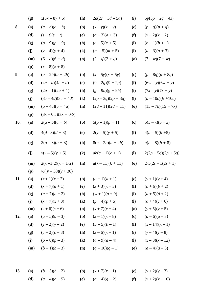|     | (g) | $x(5x-8y+5)$                | (h)                        | $2a(2c + 3d - 5a)$ | (i)                                      | $5p(3p + 2q + 4s)$   |
|-----|-----|-----------------------------|----------------------------|--------------------|------------------------------------------|----------------------|
| 8.  | (a) | $(a-b)(a+b)$                | (b)                        | $(x-y)(x+y)$       | (c)                                      | $(p - q)(p + q)$     |
|     | (d) | $(s - t)(s + t)$            | (e)                        | $(a-3)(a+3)$       | (f)                                      | $(x-2)(x+2)$         |
|     | (g) | $(p-9)(p+9)$                | (h)                        | $(c-5)(c+5)$       | (i)                                      | $(b-1)(b+1)$         |
|     | (j) | $(y-4)(y + 4)$              | $\left( \mathbf{k}\right)$ | $(m-5)(m+5)$       | <b>(I)</b>                               | $(a-3)(a+3)$         |
|     | (m) | $(6-d)(6+d)$                | (n)                        | $(2-q)(2+q)$       | $\boldsymbol{\left( \mathbf{0} \right)}$ | $(7 - w)(7 + w)$     |
|     | (p) | $(x-8)(x+8)$                |                            |                    |                                          |                      |
| 9.  | (a) | $(a-2b)(a+2b)$              | <b>(b)</b>                 | $(x-5y)(x + 5y)$   | (c)                                      | $(p - 8q)(p + 8q)$   |
|     | (d) | $(4c - d)(4c + d)$          | <b>(e)</b>                 | $(9-2g)(9+2g)$     | (f)                                      | $(6w - y)(6w + y)$   |
|     | (g) | $(2a-1)(2a+1)$              | (h)                        | $(g - 9h)(g + 9h)$ | (i)                                      | $(7x - y)(7x + y)$   |
|     | (j) | $(3c-4d)(3c+4d)$            | $\left( \mathbf{k}\right)$ | $(2p-3q)(2p+3q)$   | $\mathbf{I}$                             | $(b-10c)(b+10c)$     |
|     | (m) | $(5-4a)(5+4a)$              | (n)                        | $(2d-11)(2d+11)$   | $\boldsymbol{\left( \mathbf{0} \right)}$ | $(15 - 7k)(15 + 7k)$ |
|     | (p) | $(3x - 0.5)(3x + 0.5)$      |                            |                    |                                          |                      |
| 10. | (a) | $2(a - b)(a + b)$           | <b>(b)</b>                 | $5(p-1)(p+1)$      | (c)                                      | $5(3-x)(3+x)$        |
|     | (d) | $4(d-3)(d+3)$               | (e)                        | $2(y-5)(y+5)$      | (f)                                      | $4(b-5)(b+5)$        |
|     | (g) | $3(q-3)(q+3)$               | (h)                        | $8(a-2b)(a+2b)$    | (i)                                      | $a(b-8)(b+8)$        |
|     | (j) | $x(y-5)(y + 5)$             | $\left( \mathbf{k}\right)$ | $ab(c-1)(c+1)$     | <b>(I)</b>                               | $2(2p-5q)(2p+5q)$    |
|     | (m) | $2(x-1\cdot 2)(x+1\cdot 2)$ | (n)                        | $a(k-11)(k+11)$    | $\boldsymbol{\left( \mathbf{0} \right)}$ | $2.5(2s-1(2s+1))$    |
|     | (p) | $\frac{1}{2}(y-30)(y+30)$   |                            |                    |                                          |                      |
| 11. | (a) | $(x+1)(x+2)$                | (b)                        | $(a+1)(a+1)$       | (c)                                      | $(y + 1)(y + 4)$     |
|     | (d) | $(x+7)(a+1)$                | <b>(e)</b>                 | $(x+3)(x+3)$       | (f)                                      | $(b+6)(b+2)$         |
|     | (g) | $(a+7)(a+2)$                | (h)                        | $(w + 1)(a + 9)$   | (i)                                      | $(d+5)(d+2)$         |
|     | (i) | $(x + 7)(x + 3)$            | $\left( \mathbf{k}\right)$ | $(p+4)(p+5)$       | ( <b>l</b> )                             | $(c+4)(c+6)$         |
|     | (m) | $(s + 6)(s + 6)$            | (n)                        | $(x + 7)(x + 4)$   | <b>(0)</b>                               | $(y + 5)(y + 5)$     |
| 12. | (a) | $(a-5)(a-3)$                | <b>(b)</b>                 | $(x-1)(x-8)$       | (c)                                      | $(a-6)(a-3)$         |
|     | (d) | $(y-2)(y-2)$                | <b>(e)</b>                 | $(b-5)(b-1)$       | (f)                                      | $(x-14)(x-1)$        |
|     | (g) | $(c-2)(c-8)$                | (h)                        | $(x-6)(x-1)$       | (i)                                      | $(y-4)(y-8)$         |
|     | (j) | $(p-8)(p-3)$                | $\left( \mathbf{k}\right)$ | $(a-9)(a-4)$       | $\mathbf{I}$                             | $(x-3)(x-12)$        |
|     | (m) | $(b-1)(b-3)$                | (n)                        | $(q-10)(q-1)$      | (0)                                      | $(a-4)(a-3)$         |
|     |     |                             |                            |                    |                                          |                      |

**13**. **(a)**  $(b+5)(b-2)$  **(b)**  $(x+7)(x-1)$  **(c)**  $(y+2)(y-3)$ **(d)**  $(a+4)(a-5)$  **(e)**  $(q+4)(q-2)$  **(f)**  $(x+2)(x-10)$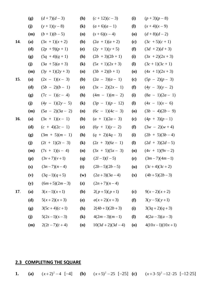|            | (g) | $(d+7)(d-3)$       | (h)                        | $(c+12)(c-3)$      | (i)                                      | $(p+3)(p-8)$       |
|------------|-----|--------------------|----------------------------|--------------------|------------------------------------------|--------------------|
|            | (j) | $(y+1)(y-8)$       | $\left( \mathbf{k}\right)$ | $(a+6)(a-1)$       | $\mathbf{I}$                             | $(x+4)(x-9)$       |
|            | (m) | $(b+1)(b-5)$       | (n)                        | $(s+6)(s-4)$       | $\boldsymbol{\left( \mathbf{0} \right)}$ | $(d+8)(d-2)$       |
| 14.        | (a) | $(3x + 1)(x + 2)$  | ( <b>b</b> )               | $(2a + 1)(a + 2)$  | (c)                                      | $(3c + 5)(c + 1)$  |
|            | (d) | $(2p + 9)(p + 1)$  | <b>(e)</b>                 | $(2y + 1)(y + 5)$  | (f)                                      | $(3d + 2)(d + 3)$  |
|            | (g) | $(5q + 4)(q + 1)$  | (h)                        | $(2b + 3)(2b + 1)$ | (i)                                      | $(3x + 2)(2x + 3)$ |
|            | (j) | $(3a + 5)(a + 3)$  | $\left( \mathbf{k}\right)$ | $(5x + 1)(2x + 3)$ | $\mathbf{I}$                             | $(3c+1)(3c+1)$     |
|            | (m) | $(3y + 1)(2y + 3)$ | (n)                        | $(3b + 2)(b + 1)$  | $\boldsymbol{\left( 0\right) }$          | $(4x + 1)(2x + 3)$ |
| 15.        | (a) | $(2x - 1)(x - 3)$  | ( <b>b</b> )               | $(2a - 3)(a - 1)$  | (c)                                      | $(5p - 2)(p - 3)$  |
|            | (d) | $(5b - 2)(b - 1)$  | <b>(e)</b>                 | $(3x - 2)(2x - 1)$ | (f)                                      | $(4y - 3)(y - 2)$  |
|            | (g) | $(7c - 1)(c - 4)$  | (h)                        | $(4m - 1)(m - 2)$  | (i)                                      | $(8a - 1)(2a - 1)$ |
|            | (j) | $(4y - 1)(2y - 5)$ | $\left( \mathbf{k}\right)$ | $(3p - 1)(p - 12)$ | $\mathbf{I}$                             | $(4x - 1)(x - 6)$  |
|            | (m) | $(5a - 2)(3a - 2)$ | (n)                        | $(6c - 1)(4c - 3)$ | $\boldsymbol{\left( \mathbf{0} \right)}$ | $(3b - 4)(2b - 9)$ |
| <b>16.</b> | (a) | $(3x + 1)(x - 1)$  | <b>(b)</b>                 | $(a + 1)(2a - 3)$  | (c)                                      | $(4p + 3)(p-1)$    |
|            | (d) | $(c + 4)(2c - 1)$  | <b>(e)</b>                 | $(6y + 1)(y - 2)$  | (f)                                      | $(3w - 2)(w + 4)$  |
|            | (g) | $(3m + 5)(m - 1)$  | (h)                        | $(q + 2)(4q - 3)$  | (i)                                      | $(2b + 5)(3b-4)$   |
|            | (j) | $(2t + 1)(2t - 3)$ | $\left( \mathbf{k}\right)$ | $(2z + 3)(6z - 1)$ | $\mathbf{I}$                             | $(2d + 3)(2d - 5)$ |
|            | (m) | $(7s + 1)(s - 4)$  | (n)                        | $(3x + 5)(5x - 3)$ | $\boldsymbol{\left( \mathbf{0} \right)}$ | $(4v + 1)(9v - 2)$ |
|            | (p) | $(3v+7)(v+1)$      | <b>(q)</b>                 | $(2l-1)(l-5)$      | (r)                                      | $(3m-7)(4m-1)$     |
|            | (s) | $(3n-7)(n-4)$      | (t)                        | $(2b-5)(2b-5)$     | ( <b>u</b> )                             | $(3c+4)(3c+2)$     |
|            | (v) | $(3q-1)(q+5)$      | $(\mathbf{w})$             | $(2a+3)(3a-4)$     | $(\mathbf{x})$                           | $(4b+5)(2b-3)$     |
|            | (y) | $(6m+5)(2m-3)$     | $(\mathbf{z})$             | $(2n+7)(n-4)$      |                                          |                    |
| 17.        | (a) | $3(x-1)(x+1)$      | (b)                        | $2(p+5)(p+1)$      | (c)                                      | $9(x-2)(x+2)$      |
|            | (d) | $5(x+2)(x+3)$      | <b>(e)</b>                 | $a(x+2)(x+3)$      | (f)                                      | $3(y-5)(y+1)$      |
|            | (g) | $3(5c+4)(c+1)$     | (h)                        | $2(4b+1)(2b+3)$    | (i)                                      | $3(3q+2)(q+3)$     |
|            | (j) | $5(2s-1)(s-3)$     | $\left( \mathbf{k}\right)$ | $4(2m-3)(m-1)$     | <b>(I)</b>                               | $4(2a-3)(a-3)$     |
|            | (m) | $2(2t-7)(t+4)$     | (n)                        | $10(3d+2)(3d-4)$   | (0)                                      | $4(10x-1)(10x+1)$  |

## **2.3 COMPLETING THE SQUARE**

**1. (a)**  $(x+2)^2-4$  [-4] **(b)**  $(x+5)^2-25$  [-25] **(c)**  $(x+3\cdot5)^2-12\cdot25$  [-12⋅25]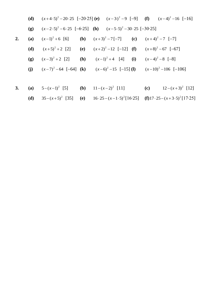|    |     | (d) $(x+4.5)^2 - 20.25$ [-20.25] (e) $(x-3)^2 - 9$ [-9] (f) $(x-4)^2 - 16$ [-16] |  |  |  |
|----|-----|----------------------------------------------------------------------------------|--|--|--|
|    |     | (g) $(x-2.5)^2 - 6.25 [-6.25]$ (h) $(x-5.5)^2 - 30.25 [-30.25]$                  |  |  |  |
| 2. |     | (a) $(x-1)^2+6$ [6] (b) $(x+3)^2-7[-7]$ (c) $(x+4)^2-7[-7]$                      |  |  |  |
|    |     | (d) $(x+5)^2+2$ [2] (e) $(x+2)^2-12$ [-12] (f) $(x+8)^2-67$ [-67]                |  |  |  |
|    | (g) | $(x-3)^2+2$ [2] <b>(h)</b> $(x-1)^2+4$ [4] <b>(i)</b> $(x-4)^2-8$ [-8]           |  |  |  |
|    |     | (j) $(x-7)^2-64$ [-64] (k) $(x-6)^2-15$ [-15] (l) $(x-10)^2-106$ [-106]          |  |  |  |
|    |     |                                                                                  |  |  |  |
|    |     |                                                                                  |  |  |  |

(d) 
$$
35-(x+5)^2
$$
 [35] (e)  $16 \cdot 25 - (x-1 \cdot 5)^2[16 \cdot 25]$  (f)  $17 \cdot 25 - (x+3 \cdot 5)^2[17 \cdot 25]$ 

**3. (a)**  $5-(x-1)^2$  [5] **(b)**  $11-(x-2)^2$  [11] **(c)**  $12-(x+3)^2$  [12]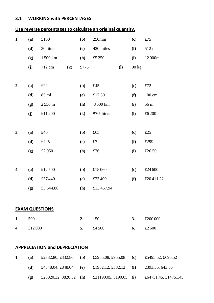#### **3.1 WORKING with PERCENTAGES**

## **Use reverse percentages to calculate an original quantity.**

| 1. | (a)    | £100                  |                            | (b)                        | $250$ mm    |              | (c)                        | £75          |
|----|--------|-----------------------|----------------------------|----------------------------|-------------|--------------|----------------------------|--------------|
|    | (d)    | 30 litres             |                            | (e)                        | 420 miles   |              | (f)                        | 512 m        |
|    | (g)    | 1500 km               |                            | (h)                        | £5250       |              | (i)                        | 12000m       |
|    | (j)    | 712 cm                | $\left( \mathbf{k}\right)$ | £775                       |             | $\mathbf{I}$ | 90 kg                      |              |
|    |        |                       |                            |                            |             |              |                            |              |
| 2. | (a)    | £22                   |                            | (b)                        | £45         |              | (c)                        | $\pounds 72$ |
|    | (d)    | 85 ml                 |                            | (e)                        | £17.50      |              | (f)                        | 100 cm       |
|    | (g)    | $2550\,\mathrm{m}$    |                            | (h)                        | 8500 km     |              | (i)                        | 56 m         |
|    | (j)    | £11200                |                            | $\left( \mathbf{k}\right)$ | 97.5 litres |              | $\mathbf{I}$               | £6200        |
|    |        |                       |                            |                            |             |              |                            |              |
| 3. | (a)    | £40                   |                            | (b)                        | £65         |              | $\left( \mathbf{c}\right)$ | £25          |
|    | (d)    | £425                  |                            | (e)                        | $\pounds 7$ |              | (f)                        | £299         |
|    | (g)    | £2 050                |                            | (h)                        | £26         |              | (i)                        | £26.50       |
|    |        |                       |                            |                            |             |              |                            |              |
| 4. | (a)    | £12500                |                            | (b)                        | £18060      |              | (c)                        | £24 600      |
|    | (d)    | £37440                |                            | (e)                        | £23400      |              | (f)                        | £20411.22    |
|    | (g)    | £3 644.86             |                            | (h)                        | £13 457.94  |              |                            |              |
|    |        |                       |                            |                            |             |              |                            |              |
|    |        | <b>EXAM QUESTIONS</b> |                            |                            |             |              |                            |              |
| 1. | 500    |                       |                            | 2.                         | 150         |              | 3.                         | £200 000     |
| 4. | £12000 |                       |                            | 5.                         | £4500       |              | 6.                         | £2600        |
|    |        |                       |                            |                            |             |              |                            |              |
|    |        |                       |                            |                            |             |              |                            |              |

## **APPRECIATION and DEPRECIATION**

| (a)                        | £2332.80, £332.80               | (b) | £5955.08, £955.08 (c)  | £5495.52, £695.52    |
|----------------------------|---------------------------------|-----|------------------------|----------------------|
| (d)                        | £4348.04, £848.04 (e)           |     | £1982.12, £382.12 (f)  | 2393.35, 643.35      |
| $\left( \mathbf{p}\right)$ | £23820.32, 3820.32 ( <b>h</b> ) |     | £21190.05, 3190.05 (i) | £64751.45, £14751.45 |